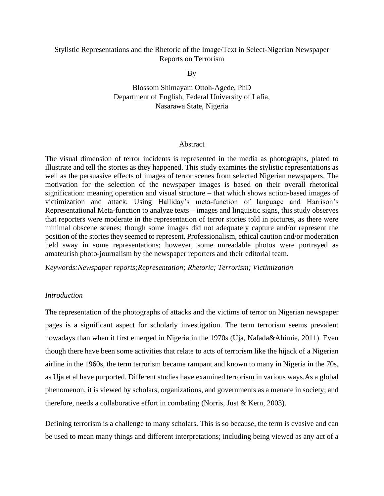## Stylistic Representations and the Rhetoric of the Image/Text in Select-Nigerian Newspaper Reports on Terrorism

By

Blossom Shimayam Ottoh-Agede, PhD Department of English, Federal University of Lafia, Nasarawa State, Nigeria

#### Abstract

The visual dimension of terror incidents is represented in the media as photographs, plated to illustrate and tell the stories as they happened. This study examines the stylistic representations as well as the persuasive effects of images of terror scenes from selected Nigerian newspapers. The motivation for the selection of the newspaper images is based on their overall rhetorical signification: meaning operation and visual structure – that which shows action-based images of victimization and attack. Using Halliday's meta-function of language and Harrison's Representational Meta-function to analyze texts – images and linguistic signs, this study observes that reporters were moderate in the representation of terror stories told in pictures, as there were minimal obscene scenes; though some images did not adequately capture and/or represent the position of the stories they seemed to represent. Professionalism, ethical caution and/or moderation held sway in some representations; however, some unreadable photos were portrayed as amateurish photo-journalism by the newspaper reporters and their editorial team.

*Keywords:Newspaper reports;Representation; Rhetoric; Terrorism; Victimization*

#### *Introduction*

The representation of the photographs of attacks and the victims of terror on Nigerian newspaper pages is a significant aspect for scholarly investigation. The term terrorism seems prevalent nowadays than when it first emerged in Nigeria in the 1970s (Uja, Nafada&Ahimie, 2011). Even though there have been some activities that relate to acts of terrorism like the hijack of a Nigerian airline in the 1960s, the term terrorism became rampant and known to many in Nigeria in the 70s, as Uja et al have purported. Different studies have examined terrorism in various ways.As a global phenomenon, it is viewed by scholars, organizations, and governments as a menace in society; and therefore, needs a collaborative effort in combating (Norris, Just & Kern, 2003).

Defining terrorism is a challenge to many scholars. This is so because, the term is evasive and can be used to mean many things and different interpretations; including being viewed as any act of a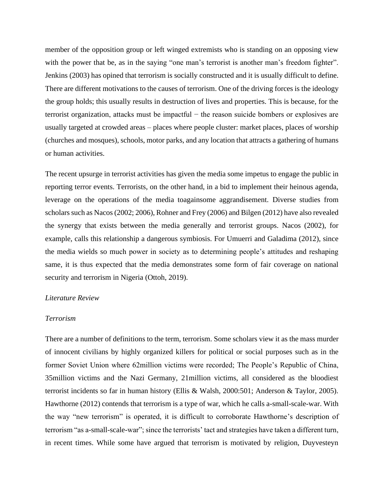member of the opposition group or left winged extremists who is standing on an opposing view with the power that be, as in the saying "one man's terrorist is another man's freedom fighter". Jenkins (2003) has opined that terrorism is socially constructed and it is usually difficult to define. There are different motivations to the causes of terrorism. One of the driving forces is the ideology the group holds; this usually results in destruction of lives and properties. This is because, for the terrorist organization, attacks must be impactful − the reason suicide bombers or explosives are usually targeted at crowded areas – places where people cluster: market places, places of worship (churches and mosques), schools, motor parks, and any location that attracts a gathering of humans or human activities.

The recent upsurge in terrorist activities has given the media some impetus to engage the public in reporting terror events. Terrorists, on the other hand, in a bid to implement their heinous agenda, leverage on the operations of the media toagainsome aggrandisement. Diverse studies from scholars such as Nacos (2002; 2006), Rohner and Frey (2006) and Bilgen (2012) have also revealed the synergy that exists between the media generally and terrorist groups. Nacos (2002), for example, calls this relationship a dangerous symbiosis. For Umuerri and Galadima (2012), since the media wields so much power in society as to determining people's attitudes and reshaping same, it is thus expected that the media demonstrates some form of fair coverage on national security and terrorism in Nigeria (Ottoh, 2019).

#### *Literature Review*

#### *Terrorism*

There are a number of definitions to the term, terrorism. Some scholars view it as the mass murder of innocent civilians by highly organized killers for political or social purposes such as in the former Soviet Union where 62million victims were recorded; The People's Republic of China, 35million victims and the Nazi Germany, 21million victims, all considered as the bloodiest terrorist incidents so far in human history (Ellis & Walsh, 2000:501; Anderson & Taylor, 2005). Hawthorne (2012) contends that terrorism is a type of war, which he calls a-small-scale-war. With the way "new terrorism" is operated, it is difficult to corroborate Hawthorne's description of terrorism "as a-small-scale-war"; since the terrorists' tact and strategies have taken a different turn, in recent times. While some have argued that terrorism is motivated by religion, Duyvesteyn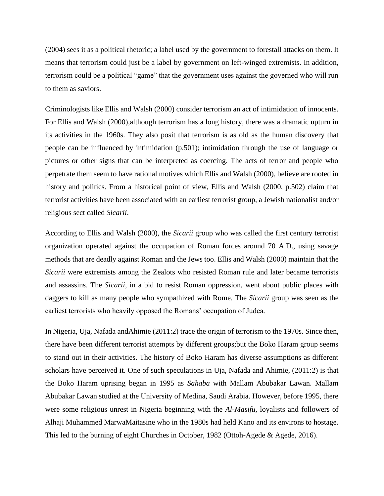(2004) sees it as a political rhetoric; a label used by the government to forestall attacks on them. It means that terrorism could just be a label by government on left-winged extremists. In addition, terrorism could be a political "game" that the government uses against the governed who will run to them as saviors.

Criminologists like Ellis and Walsh (2000) consider terrorism an act of intimidation of innocents. For Ellis and Walsh (2000), although terrorism has a long history, there was a dramatic upturn in its activities in the 1960s. They also posit that terrorism is as old as the human discovery that people can be influenced by intimidation (p.501); intimidation through the use of language or pictures or other signs that can be interpreted as coercing. The acts of terror and people who perpetrate them seem to have rational motives which Ellis and Walsh (2000), believe are rooted in history and politics. From a historical point of view, Ellis and Walsh (2000, p.502) claim that terrorist activities have been associated with an earliest terrorist group, a Jewish nationalist and/or religious sect called *Sicarii*.

According to Ellis and Walsh (2000), the *Sicarii* group who was called the first century terrorist organization operated against the occupation of Roman forces around 70 A.D., using savage methods that are deadly against Roman and the Jews too. Ellis and Walsh (2000) maintain that the *Sicarii* were extremists among the Zealots who resisted Roman rule and later became terrorists and assassins. The *Sicarii,* in a bid to resist Roman oppression, went about public places with daggers to kill as many people who sympathized with Rome. The *Sicarii* group was seen as the earliest terrorists who heavily opposed the Romans' occupation of Judea.

In Nigeria, Uja, Nafada andAhimie (2011:2) trace the origin of terrorism to the 1970s. Since then, there have been different terrorist attempts by different groups;but the Boko Haram group seems to stand out in their activities. The history of Boko Haram has diverse assumptions as different scholars have perceived it. One of such speculations in Uja, Nafada and Ahimie, (2011:2) is that the Boko Haram uprising began in 1995 as *Sahaba* with Mallam Abubakar Lawan. Mallam Abubakar Lawan studied at the University of Medina, Saudi Arabia. However, before 1995, there were some religious unrest in Nigeria beginning with the *Al-Masifu,* loyalists and followers of Alhaji Muhammed MarwaMaitasine who in the 1980s had held Kano and its environs to hostage. This led to the burning of eight Churches in October, 1982 (Ottoh-Agede & Agede, 2016).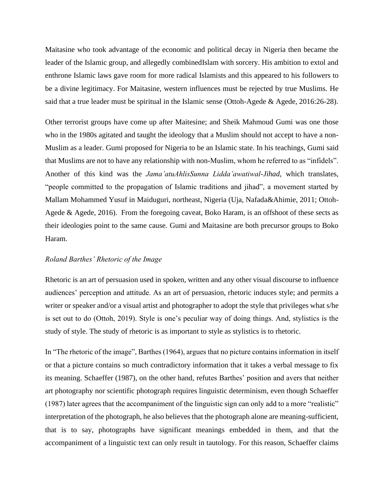Maitasine who took advantage of the economic and political decay in Nigeria then became the leader of the Islamic group, and allegedly combinedIslam with sorcery. His ambition to extol and enthrone Islamic laws gave room for more radical Islamists and this appeared to his followers to be a divine legitimacy. For Maitasine, western influences must be rejected by true Muslims. He said that a true leader must be spiritual in the Islamic sense (Ottoh-Agede & Agede, 2016:26-28).

Other terrorist groups have come up after Maitesine; and Sheik Mahmoud Gumi was one those who in the 1980s agitated and taught the ideology that a Muslim should not accept to have a non-Muslim as a leader. Gumi proposed for Nigeria to be an Islamic state. In his teachings, Gumi said that Muslims are not to have any relationship with non-Muslim, whom he referred to as "infidels". Another of this kind was the *Jama'atuAhlisSunna Lidda'awatiwal-Jihad*, which translates, "people committed to the propagation of Islamic traditions and jihad", a movement started by Mallam Mohammed Yusuf in Maiduguri, northeast, Nigeria (Uja, Nafada&Ahimie, 2011; Ottoh-Agede & Agede, 2016). From the foregoing caveat, Boko Haram, is an offshoot of these sects as their ideologies point to the same cause. Gumi and Maitasine are both precursor groups to Boko Haram.

#### *Roland Barthes' Rhetoric of the Image*

Rhetoric is an art of persuasion used in spoken, written and any other visual discourse to influence audiences' perception and attitude. As an art of persuasion, rhetoric induces style; and permits a writer or speaker and/or a visual artist and photographer to adopt the style that privileges what s/he is set out to do (Ottoh, 2019). Style is one's peculiar way of doing things. And, stylistics is the study of style. The study of rhetoric is as important to style as stylistics is to rhetoric.

In "The rhetoric of the image", Barthes (1964), argues that no picture contains information in itself or that a picture contains so much contradictory information that it takes a verbal message to fix its meaning. Schaeffer (1987), on the other hand, refutes Barthes' position and avers that neither art photography nor scientific photograph requires linguistic determinism, even though Schaeffer (1987) later agrees that the accompaniment of the linguistic sign can only add to a more "realistic" interpretation of the photograph, he also believes that the photograph alone are meaning-sufficient, that is to say, photographs have significant meanings embedded in them, and that the accompaniment of a linguistic text can only result in tautology. For this reason, Schaeffer claims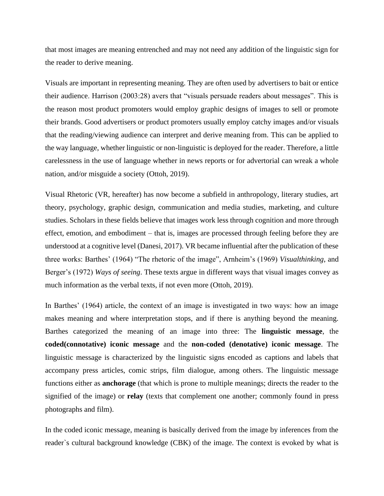that most images are meaning entrenched and may not need any addition of the linguistic sign for the reader to derive meaning.

Visuals are important in representing meaning. They are often used by advertisers to bait or entice their audience. Harrison (2003:28) avers that "visuals persuade readers about messages". This is the reason most product promoters would employ graphic designs of images to sell or promote their brands. Good advertisers or product promoters usually employ catchy images and/or visuals that the reading/viewing audience can interpret and derive meaning from. This can be applied to the way language, whether linguistic or non-linguistic is deployed for the reader. Therefore, a little carelessness in the use of language whether in news reports or for advertorial can wreak a whole nation, and/or misguide a society (Ottoh, 2019).

Visual Rhetoric (VR, hereafter) has now become a subfield in anthropology, literary studies, art theory, psychology, graphic design, communication and media studies, marketing, and culture studies. Scholars in these fields believe that images work less through cognition and more through effect, emotion, and embodiment – that is, images are processed through feeling before they are understood at a cognitive level (Danesi, 2017). VR became influential after the publication of these three works: Barthes' (1964) "The rhetoric of the image", Arnheim's (1969) *Visualthinking*, and Berger's (1972) *Ways of seeing*. These texts argue in different ways that visual images convey as much information as the verbal texts, if not even more (Ottoh, 2019).

In Barthes' (1964) article, the context of an image is investigated in two ways: how an image makes meaning and where interpretation stops, and if there is anything beyond the meaning. Barthes categorized the meaning of an image into three: The **linguistic message**, the **coded(connotative) iconic message** and the **non-coded (denotative) iconic message**. The linguistic message is characterized by the linguistic signs encoded as captions and labels that accompany press articles, comic strips, film dialogue, among others. The linguistic message functions either as **anchorage** (that which is prone to multiple meanings; directs the reader to the signified of the image) or **relay** (texts that complement one another; commonly found in press photographs and film).

In the coded iconic message, meaning is basically derived from the image by inferences from the reader`s cultural background knowledge (CBK) of the image. The context is evoked by what is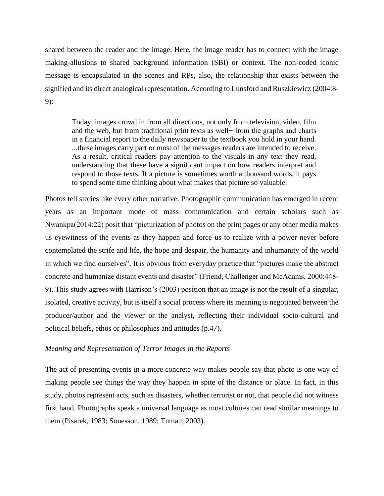shared between the reader and the image. Here, the image reader has to connect with the image making-allusions to shared background information (SBI) or context. The non-coded iconic message is encapsulated in the scenes and RPs, also, the relationship that exists between the signified and its direct analogical representation. According to Lunsford and Ruszkiewicz (2004:8- 9):

Today, images crowd in from all directions, not only from television, video, film and the web, but from traditional print texts as well− from the graphs and charts in a financial report to the daily newspaper to the textbook you hold in your hand. ...these images carry part or most of the messages readers are intended to receive. As a result, critical readers pay attention to the visuals in any text they read, understanding that these have a significant impact on how readers interpret and respond to those texts. If a picture is sometimes worth a thousand words, it pays to spend some time thinking about what makes that picture so valuable.

Photos tell stories like every other narrative. Photographic communication has emerged in recent years as an important mode of mass communication and certain scholars such as Nwankpa(2014:22) posit that "picturization of photos on the print pages or any other media makes us eyewitness of the events as they happen and force us to realize with a power never before contemplated the strife and life, the hope and despair, the humanity and inhumanity of the world in which we find ourselves". It is obvious from everyday practice that "pictures make the abstract concrete and humanize distant events and disaster" (Friend, Challenger and McAdams, 2000:448- 9). This study agrees with Harrison's (2003) position that an image is not the result of a singular, isolated, creative activity, but is itself a social process where its meaning is negotiated between the producer/author and the viewer or the analyst, reflecting their individual socio-cultural and political beliefs, ethos or philosophies and attitudes (p.47).

#### *Meaning and Representation of Terror Images in the Reports*

The act of presenting events in a more concrete way makes people say that photo is one way of making people see things the way they happen in spite of the distance or place. In fact, in this study, photos represent acts, such as disasters, whether terrorist or not, that people did not witness first hand. Photographs speak a universal language as most cultures can read similar meanings to them (Pisarek, 1983; Sonesson, 1989; Tuman, 2003).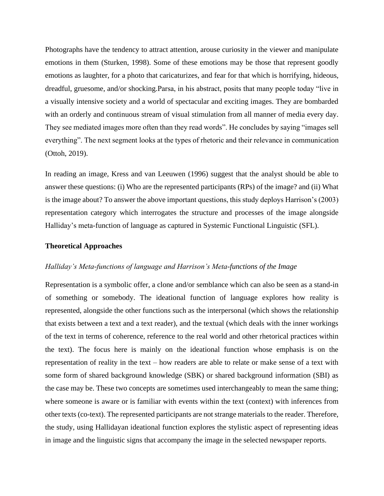Photographs have the tendency to attract attention, arouse curiosity in the viewer and manipulate emotions in them (Sturken, 1998). Some of these emotions may be those that represent goodly emotions as laughter, for a photo that caricaturizes, and fear for that which is horrifying, hideous, dreadful, gruesome, and/or shocking.Parsa, in his abstract, posits that many people today "live in a visually intensive society and a world of spectacular and exciting images. They are bombarded with an orderly and continuous stream of visual stimulation from all manner of media every day. They see mediated images more often than they read words". He concludes by saying "images sell everything". The next segment looks at the types of rhetoric and their relevance in communication (Ottoh, 2019).

In reading an image, Kress and van Leeuwen (1996) suggest that the analyst should be able to answer these questions: (i) Who are the represented participants (RPs) of the image? and (ii) What is the image about? To answer the above important questions, this study deploys Harrison's (2003) representation category which interrogates the structure and processes of the image alongside Halliday's meta-function of language as captured in Systemic Functional Linguistic (SFL).

#### **Theoretical Approaches**

#### *Halliday's Meta-functions of language and Harrison's Meta-functions of the Image*

Representation is a symbolic offer, a clone and/or semblance which can also be seen as a stand-in of something or somebody. The ideational function of language explores how reality is represented, alongside the other functions such as the interpersonal (which shows the relationship that exists between a text and a text reader), and the textual (which deals with the inner workings of the text in terms of coherence, reference to the real world and other rhetorical practices within the text). The focus here is mainly on the ideational function whose emphasis is on the representation of reality in the text – how readers are able to relate or make sense of a text with some form of shared background knowledge (SBK) or shared background information (SBI) as the case may be. These two concepts are sometimes used interchangeably to mean the same thing; where someone is aware or is familiar with events within the text (context) with inferences from other texts (co-text). The represented participants are not strange materials to the reader. Therefore, the study, using Hallidayan ideational function explores the stylistic aspect of representing ideas in image and the linguistic signs that accompany the image in the selected newspaper reports.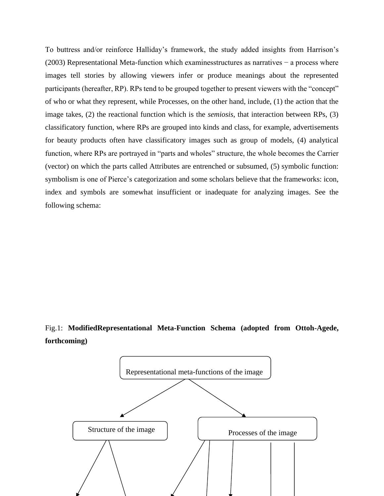To buttress and/or reinforce Halliday's framework, the study added insights from Harrison's (2003) Representational Meta-function which examinesstructures as narratives − a process where images tell stories by allowing viewers infer or produce meanings about the represented participants (hereafter, RP). RPs tend to be grouped together to present viewers with the "concept" of who or what they represent, while Processes, on the other hand, include, (1) the action that the image takes, (2) the reactional function which is the *semiosis*, that interaction between RPs, (3) classificatory function, where RPs are grouped into kinds and class, for example, advertisements for beauty products often have classificatory images such as group of models, (4) analytical function, where RPs are portrayed in "parts and wholes" structure, the whole becomes the Carrier (vector) on which the parts called Attributes are entrenched or subsumed, (5) symbolic function: symbolism is one of Pierce's categorization and some scholars believe that the frameworks: icon, index and symbols are somewhat insufficient or inadequate for analyzing images. See the following schema:

# Fig.1: **ModifiedRepresentational Meta-Function Schema (adopted from Ottoh-Agede, forthcoming)**

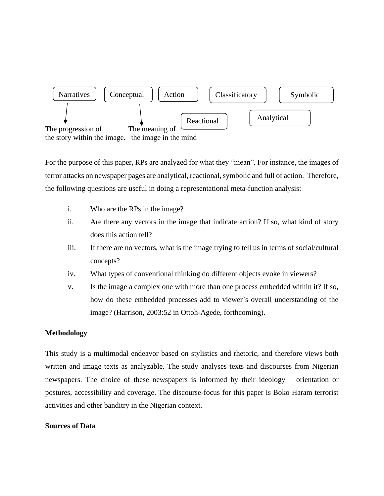

For the purpose of this paper, RPs are analyzed for what they "mean". For instance, the images of terror attacks on newspaper pages are analytical, reactional, symbolic and full of action. Therefore, the following questions are useful in doing a representational meta-function analysis:

- i. Who are the RPs in the image?
- ii. Are there any vectors in the image that indicate action? If so, what kind of story does this action tell?
- iii. If there are no vectors, what is the image trying to tell us in terms of social/cultural concepts?
- iv. What types of conventional thinking do different objects evoke in viewers?
- v. Is the image a complex one with more than one process embedded within it? If so, how do these embedded processes add to viewer`s overall understanding of the image? (Harrison, 2003:52 in Ottoh-Agede, forthcoming).

### **Methodology**

This study is a multimodal endeavor based on stylistics and rhetoric, and therefore views both written and image texts as analyzable. The study analyses texts and discourses from Nigerian newspapers. The choice of these newspapers is informed by their ideology – orientation or postures, accessibility and coverage. The discourse-focus for this paper is Boko Haram terrorist activities and other banditry in the Nigerian context.

#### **Sources of Data**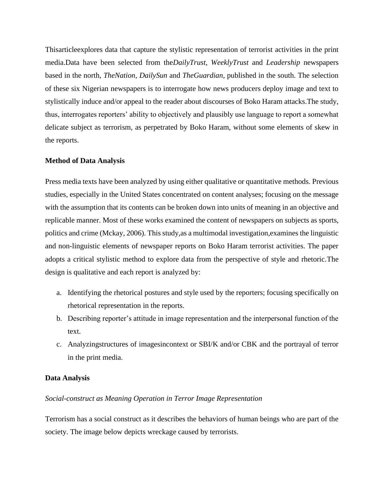Thisarticleexplores data that capture the stylistic representation of terrorist activities in the print media.Data have been selected from the*DailyTrust*, *WeeklyTrust* and *Leadership* newspapers based in the north, *TheNation*, *DailySun* and *TheGuardian*, published in the south. The selection of these six Nigerian newspapers is to interrogate how news producers deploy image and text to stylistically induce and/or appeal to the reader about discourses of Boko Haram attacks.The study, thus, interrogates reporters' ability to objectively and plausibly use language to report a somewhat delicate subject as terrorism, as perpetrated by Boko Haram, without some elements of skew in the reports.

### **Method of Data Analysis**

Press media texts have been analyzed by using either qualitative or quantitative methods. Previous studies, especially in the United States concentrated on content analyses; focusing on the message with the assumption that its contents can be broken down into units of meaning in an objective and replicable manner. Most of these works examined the content of newspapers on subjects as sports, politics and crime (Mckay, 2006). This study,as a multimodal investigation,examines the linguistic and non-linguistic elements of newspaper reports on Boko Haram terrorist activities. The paper adopts a critical stylistic method to explore data from the perspective of style and rhetoric.The design is qualitative and each report is analyzed by:

- a. Identifying the rhetorical postures and style used by the reporters; focusing specifically on rhetorical representation in the reports.
- b. Describing reporter's attitude in image representation and the interpersonal function of the text.
- c. Analyzingstructures of imagesincontext or SBI/K and/or CBK and the portrayal of terror in the print media.

#### **Data Analysis**

#### *Social-construct as Meaning Operation in Terror Image Representation*

Terrorism has a social construct as it describes the behaviors of human beings who are part of the society. The image below depicts wreckage caused by terrorists.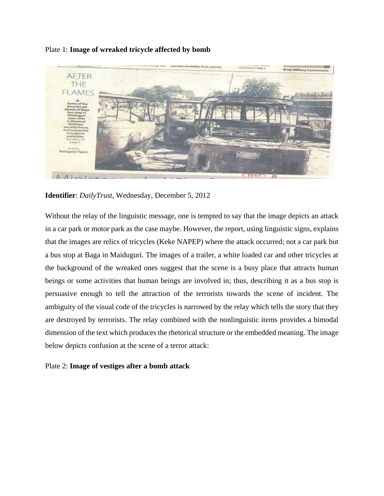## Plate 1: **Image of wreaked tricycle affected by bomb**



**Identifier**: *DailyTrust*, Wednesday, December 5, 2012

Without the relay of the linguistic message, one is tempted to say that the image depicts an attack in a car park or motor park as the case maybe. However, the report, using linguistic signs, explains that the images are relics of tricycles (Keke NAPEP) where the attack occurred; not a car park but a bus stop at Baga in Maiduguri. The images of a trailer, a white loaded car and other tricycles at the background of the wreaked ones suggest that the scene is a busy place that attracts human beings or some activities that human beings are involved in; thus, describing it as a bus stop is persuasive enough to tell the attraction of the terrorists towards the scene of incident. The ambiguity of the visual code of the tricycles is narrowed by the relay which tells the story that they are destroyed by terrorists. The relay combined with the nonlinguistic items provides a bimodal dimension of the text which produces the rhetorical structure or the embedded meaning. The image below depicts confusion at the scene of a terror attack:

### Plate 2: **Image of vestiges after a bomb attack**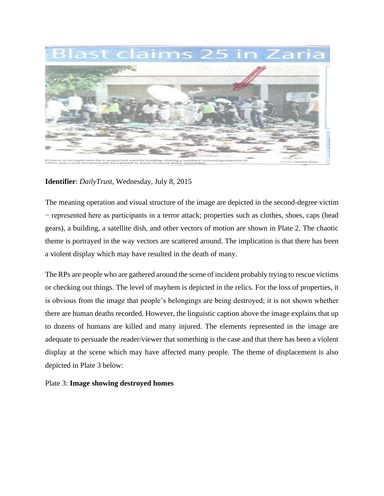

**Identifier**: *DailyTrust*, Wednesday, July 8, 2015

The meaning operation and visual structure of the image are depicted in the second-degree victim − represented here as participants in a terror attack; properties such as clothes, shoes, caps (head gears), a building, a satellite dish, and other vectors of motion are shown in Plate 2. The chaotic theme is portrayed in the way vectors are scattered around. The implication is that there has been a violent display which may have resulted in the death of many.

The RPs are people who are gathered around the scene of incident probably trying to rescue victims or checking out things. The level of mayhem is depicted in the relics. For the loss of properties, it is obvious from the image that people's belongings are being destroyed; it is not shown whether there are human deaths recorded. However, the linguistic caption above the image explains that up to dozens of humans are killed and many injured. The elements represented in the image are adequate to persuade the reader/viewer that something is the case and that there has been a violent display at the scene which may have affected many people. The theme of displacement is also depicted in Plate 3 below:

### Plate 3: **Image showing destroyed homes**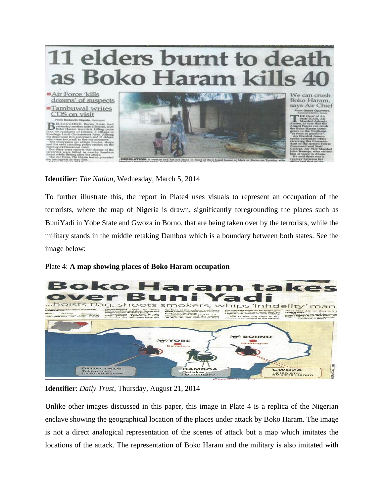

**Identifier**: *The Nation*, Wednesday, March 5, 2014

To further illustrate this, the report in Plate4 uses visuals to represent an occupation of the terrorists, where the map of Nigeria is drawn, significantly foregrounding the places such as BuniYadi in Yobe State and Gwoza in Borno, that are being taken over by the terrorists, while the military stands in the middle retaking Damboa which is a boundary between both states. See the image below:

### Plate 4: **A map showing places of Boko Haram occupation**



**Identifier**: *Daily Trust*, Thursday, August 21, 2014

Unlike other images discussed in this paper, this image in Plate 4 is a replica of the Nigerian enclave showing the geographical location of the places under attack by Boko Haram. The image is not a direct analogical representation of the scenes of attack but a map which imitates the locations of the attack. The representation of Boko Haram and the military is also imitated with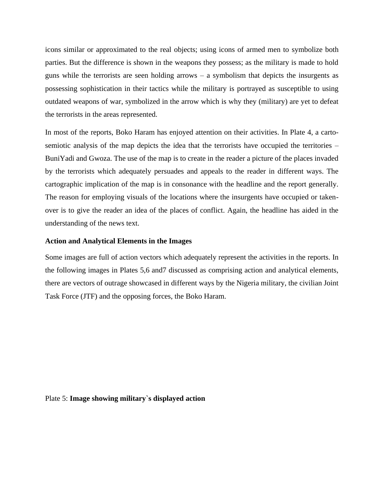icons similar or approximated to the real objects; using icons of armed men to symbolize both parties. But the difference is shown in the weapons they possess; as the military is made to hold guns while the terrorists are seen holding arrows – a symbolism that depicts the insurgents as possessing sophistication in their tactics while the military is portrayed as susceptible to using outdated weapons of war, symbolized in the arrow which is why they (military) are yet to defeat the terrorists in the areas represented.

In most of the reports, Boko Haram has enjoyed attention on their activities. In Plate 4, a cartosemiotic analysis of the map depicts the idea that the terrorists have occupied the territories – BuniYadi and Gwoza. The use of the map is to create in the reader a picture of the places invaded by the terrorists which adequately persuades and appeals to the reader in different ways. The cartographic implication of the map is in consonance with the headline and the report generally. The reason for employing visuals of the locations where the insurgents have occupied or takenover is to give the reader an idea of the places of conflict. Again, the headline has aided in the understanding of the news text.

### **Action and Analytical Elements in the Images**

Some images are full of action vectors which adequately represent the activities in the reports. In the following images in Plates 5,6 and7 discussed as comprising action and analytical elements, there are vectors of outrage showcased in different ways by the Nigeria military, the civilian Joint Task Force (JTF) and the opposing forces, the Boko Haram.

Plate 5: **Image showing military`s displayed action**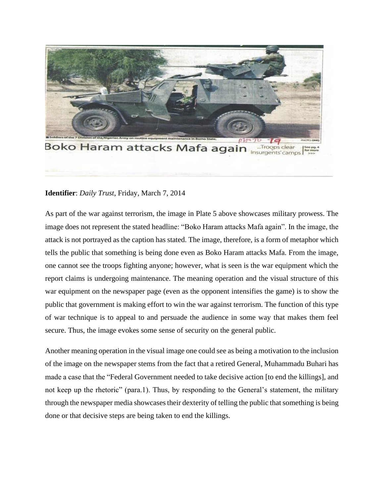

## **Identifier**: *Daily Trust*, Friday, March 7, 2014

As part of the war against terrorism, the image in Plate 5 above showcases military prowess. The image does not represent the stated headline: "Boko Haram attacks Mafa again". In the image, the attack is not portrayed as the caption has stated. The image, therefore, is a form of metaphor which tells the public that something is being done even as Boko Haram attacks Mafa. From the image, one cannot see the troops fighting anyone; however, what is seen is the war equipment which the report claims is undergoing maintenance. The meaning operation and the visual structure of this war equipment on the newspaper page (even as the opponent intensifies the game) is to show the public that government is making effort to win the war against terrorism. The function of this type of war technique is to appeal to and persuade the audience in some way that makes them feel secure. Thus, the image evokes some sense of security on the general public.

Another meaning operation in the visual image one could see as being a motivation to the inclusion of the image on the newspaper stems from the fact that a retired General, Muhammadu Buhari has made a case that the "Federal Government needed to take decisive action [to end the killings], and not keep up the rhetoric" (para.1). Thus, by responding to the General's statement, the military through the newspaper media showcases their dexterity of telling the public that something is being done or that decisive steps are being taken to end the killings.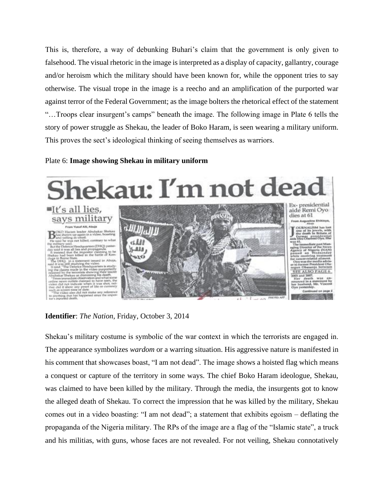This is, therefore, a way of debunking Buhari's claim that the government is only given to falsehood. The visual rhetoric in the image is interpreted as a display of capacity, gallantry, courage and/or heroism which the military should have been known for, while the opponent tries to say otherwise. The visual trope in the image is a reecho and an amplification of the purported war against terror of the Federal Government; as the image bolters the rhetorical effect of the statement "…Troops clear insurgent's camps" beneath the image. The following image in Plate 6 tells the story of power struggle as Shekau, the leader of Boko Haram, is seen wearing a military uniform. This proves the sect's ideological thinking of seeing themselves as warriors.

#### Plate 6: **Image showing Shekau in military uniform**



**Identifier**: *The Nation*, Friday, October 3, 2014

Shekau's military costume is symbolic of the war context in which the terrorists are engaged in. The appearance symbolizes *wardom* or a warring situation. His aggressive nature is manifested in his comment that showcases boast, "I am not dead". The image shows a hoisted flag which means a conquest or capture of the territory in some ways. The chief Boko Haram ideologue, Shekau, was claimed to have been killed by the military. Through the media, the insurgents got to know the alleged death of Shekau. To correct the impression that he was killed by the military, Shekau comes out in a video boasting: "I am not dead"; a statement that exhibits egoism – deflating the propaganda of the Nigeria military. The RPs of the image are a flag of the "Islamic state", a truck and his militias, with guns, whose faces are not revealed. For not veiling, Shekau connotatively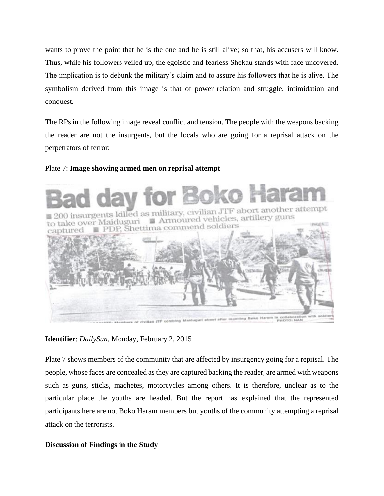wants to prove the point that he is the one and he is still alive; so that, his accusers will know. Thus, while his followers veiled up, the egoistic and fearless Shekau stands with face uncovered. The implication is to debunk the military's claim and to assure his followers that he is alive. The symbolism derived from this image is that of power relation and struggle, intimidation and conquest.

The RPs in the following image reveal conflict and tension. The people with the weapons backing the reader are not the insurgents, but the locals who are going for a reprisal attack on the perpetrators of terror:

## Plate 7: **Image showing armed men on reprisal attempt**



**Identifier**: *DailySun*, Monday, February 2, 2015

Plate 7 shows members of the community that are affected by insurgency going for a reprisal. The people, whose faces are concealed as they are captured backing the reader, are armed with weapons such as guns, sticks, machetes, motorcycles among others. It is therefore, unclear as to the particular place the youths are headed. But the report has explained that the represented participants here are not Boko Haram members but youths of the community attempting a reprisal attack on the terrorists.

# **Discussion of Findings in the Study**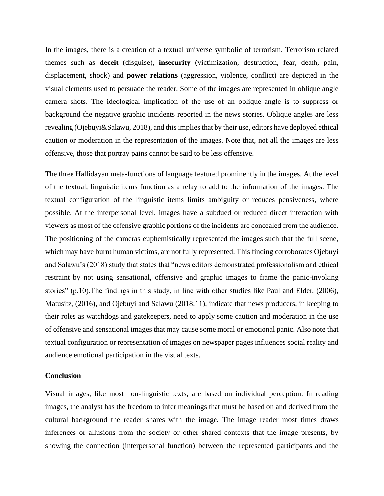In the images, there is a creation of a textual universe symbolic of terrorism. Terrorism related themes such as **deceit** (disguise), **insecurity** (victimization, destruction, fear, death, pain, displacement, shock) and **power relations** (aggression, violence, conflict) are depicted in the visual elements used to persuade the reader. Some of the images are represented in oblique angle camera shots. The ideological implication of the use of an oblique angle is to suppress or background the negative graphic incidents reported in the news stories. Oblique angles are less revealing (Ojebuyi&Salawu, 2018), and this implies that by their use, editors have deployed ethical caution or moderation in the representation of the images. Note that, not all the images are less offensive, those that portray pains cannot be said to be less offensive.

The three Hallidayan meta-functions of language featured prominently in the images. At the level of the textual, linguistic items function as a relay to add to the information of the images. The textual configuration of the linguistic items limits ambiguity or reduces pensiveness, where possible. At the interpersonal level, images have a subdued or reduced direct interaction with viewers as most of the offensive graphic portions of the incidents are concealed from the audience. The positioning of the cameras euphemistically represented the images such that the full scene, which may have burnt human victims, are not fully represented. This finding corroborates Ojebuyi and Salawu's (2018) study that states that "news editors demonstrated professionalism and ethical restraint by not using sensational, offensive and graphic images to frame the panic-invoking stories" (p.10).The findings in this study, in line with other studies like Paul and Elder, (2006), Matusitz, (2016), and Ojebuyi and Salawu (2018:11), indicate that news producers, in keeping to their roles as watchdogs and gatekeepers, need to apply some caution and moderation in the use of offensive and sensational images that may cause some moral or emotional panic. Also note that textual configuration or representation of images on newspaper pages influences social reality and audience emotional participation in the visual texts.

#### **Conclusion**

Visual images, like most non-linguistic texts, are based on individual perception. In reading images, the analyst has the freedom to infer meanings that must be based on and derived from the cultural background the reader shares with the image. The image reader most times draws inferences or allusions from the society or other shared contexts that the image presents, by showing the connection (interpersonal function) between the represented participants and the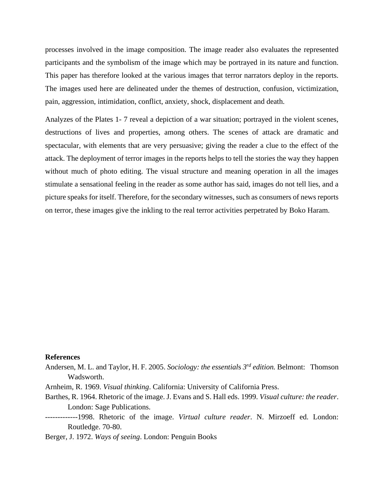processes involved in the image composition. The image reader also evaluates the represented participants and the symbolism of the image which may be portrayed in its nature and function. This paper has therefore looked at the various images that terror narrators deploy in the reports. The images used here are delineated under the themes of destruction, confusion, victimization, pain, aggression, intimidation, conflict, anxiety, shock, displacement and death.

Analyzes of the Plates 1- 7 reveal a depiction of a war situation; portrayed in the violent scenes, destructions of lives and properties, among others. The scenes of attack are dramatic and spectacular, with elements that are very persuasive; giving the reader a clue to the effect of the attack. The deployment of terror images in the reports helps to tell the stories the way they happen without much of photo editing. The visual structure and meaning operation in all the images stimulate a sensational feeling in the reader as some author has said, images do not tell lies, and a picture speaks for itself. Therefore, for the secondary witnesses, such as consumers of news reports on terror, these images give the inkling to the real terror activities perpetrated by Boko Haram.

#### **References**

- Andersen, M. L. and Taylor, H. F. 2005. *Sociology: the essential*s *3 rd edition.* Belmont: Thomson Wadsworth.
- Arnheim, R. 1969. *Visual thinking*. California: University of California Press.
- Barthes, R. 1964. Rhetoric of the image. J. Evans and S. Hall eds. 1999. *Visual culture: the reader*. London: Sage Publications.
- -------------1998. Rhetoric of the image. *Virtual culture reader*. N. Mirzoeff ed. London: Routledge. 70-80.

Berger, J. 1972. *Ways of seeing*. London: Penguin Books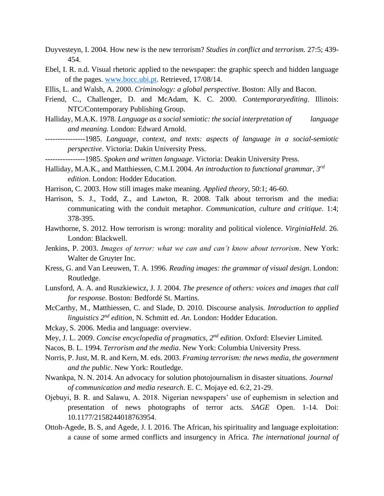- Duyvesteyn, I. 2004. How new is the new terrorism? *Studies in conflict and terrorism.* 27:5; 439- 454.
- Ebel, I. R. n.d. Visual rhetoric applied to the newspaper: the graphic speech and hidden language of the pages. [www.bocc.ubi.pt.](http://www.bocc.ubi.pt/) Retrieved, 17/08/14.
- Ellis, L. and Walsh, A. 2000. *Criminology: a global perspective*. Boston: Ally and Bacon.
- Friend, C., Challenger, D. and McAdam, K. C. 2000. *Contemporaryediting*. Illinois: NTC/Contemporary Publishing Group.
- Halliday, M.A.K. 1978. *Language as a social semiotic: the social interpretation of language and meaning.* London: Edward Arnold.
- ----------------1985. *Language, context, and texts: aspects of language in a social-semiotic perspective*. Victoria: Dakin University Press.
- ----------------1985. *Spoken and written language*. Victoria: Deakin University Press.
- Halliday, M.A.K., and Matthiessen, C.M.I. 2004. *An introduction to functional grammar, 3rd edition*. London: Hodder Education.
- Harrison, C. 2003. How still images make meaning. *Applied theory*, 50:1; 46-60.
- Harrison, S. J., Todd, Z., and Lawton, R. 2008. Talk about terrorism and the media: communicating with the conduit metaphor. *Communication, culture and critique*. 1:4; 378-395.
- Hawthorne, S. 2012. How terrorism is wrong: morality and political violence. *VirginiaHeld*. 26. London: Blackwell.
- Jenkins, P. 2003. *Images of terror: what we can and can't know about terrorism*. New York: Walter de Gruyter Inc.
- Kress, G. and Van Leeuwen, T. A. 1996. *Reading images: the grammar of visual design*. London: Routledge.
- Lunsford, A. A. and Ruszkiewicz, J. J. 2004. *The presence of others: voices and images that call for response*. Boston: Bedfordé St. Martins.
- McCarthy, M., Matthiessen, C. and Slade, D. 2010. Discourse analysis. *Introduction to applied linguistics 2nd edition,* N. Schmitt ed. *An*. London: Hodder Education.
- Mckay, S. 2006. Media and language: overview.
- Mey, J. L. 2009. *Concise encyclopedia of pragmatics, 2nd edition*. Oxford: Elsevier Limited.
- Nacos, B. L. 1994. *Terrorism and the media*. New York: Columbia University Press.
- Norris, P. Just, M. R. and Kern, M. eds. 2003. *Framing terrorism: the news media, the government and the public*. New York: Routledge.
- Nwankpa, N. N. 2014. An advocacy for solution photojournalism in disaster situations. *Journal of communication and media research*. E. C. Mojaye ed. 6:2, 21-29.
- Ojebuyi, B. R. and Salawu, A. 2018. Nigerian newspapers' use of euphemism in selection and presentation of news photographs of terror acts. *SAGE* Open. 1-14. Doi: 10.1177/2158244018763954.
- Ottoh-Agede, B. S, and Agede, J. I. 2016. The African, his spirituality and language exploitation: a cause of some armed conflicts and insurgency in Africa. *The international journal of*